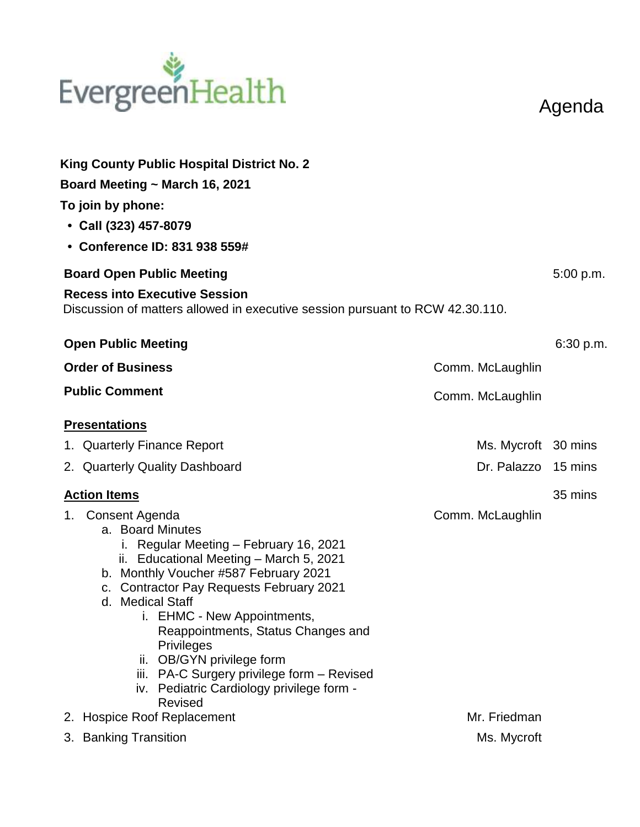# EvergreenHealth

Agenda

| <b>King County Public Hospital District No. 2</b>                                                                                                                                                                                                                                                                                                                                                                                                                       |                     |           |  |
|-------------------------------------------------------------------------------------------------------------------------------------------------------------------------------------------------------------------------------------------------------------------------------------------------------------------------------------------------------------------------------------------------------------------------------------------------------------------------|---------------------|-----------|--|
| Board Meeting ~ March 16, 2021                                                                                                                                                                                                                                                                                                                                                                                                                                          |                     |           |  |
| To join by phone:                                                                                                                                                                                                                                                                                                                                                                                                                                                       |                     |           |  |
| • Call (323) 457-8079                                                                                                                                                                                                                                                                                                                                                                                                                                                   |                     |           |  |
| • Conference ID: 831 938 559#                                                                                                                                                                                                                                                                                                                                                                                                                                           |                     |           |  |
| <b>Board Open Public Meeting</b>                                                                                                                                                                                                                                                                                                                                                                                                                                        |                     |           |  |
| <b>Recess into Executive Session</b>                                                                                                                                                                                                                                                                                                                                                                                                                                    |                     |           |  |
| Discussion of matters allowed in executive session pursuant to RCW 42.30.110.                                                                                                                                                                                                                                                                                                                                                                                           |                     |           |  |
| <b>Open Public Meeting</b>                                                                                                                                                                                                                                                                                                                                                                                                                                              |                     | 6:30 p.m. |  |
| <b>Order of Business</b>                                                                                                                                                                                                                                                                                                                                                                                                                                                | Comm. McLaughlin    |           |  |
| <b>Public Comment</b>                                                                                                                                                                                                                                                                                                                                                                                                                                                   | Comm. McLaughlin    |           |  |
| <b>Presentations</b>                                                                                                                                                                                                                                                                                                                                                                                                                                                    |                     |           |  |
| 1. Quarterly Finance Report                                                                                                                                                                                                                                                                                                                                                                                                                                             | Ms. Mycroft 30 mins |           |  |
| 2. Quarterly Quality Dashboard                                                                                                                                                                                                                                                                                                                                                                                                                                          | Dr. Palazzo 15 mins |           |  |
| <b>Action Items</b>                                                                                                                                                                                                                                                                                                                                                                                                                                                     |                     | 35 mins   |  |
| 1. Consent Agenda<br>a. Board Minutes<br>i. Regular Meeting - February 16, 2021<br>ii. Educational Meeting - March 5, 2021<br>b. Monthly Voucher #587 February 2021<br>c. Contractor Pay Requests February 2021<br>d. Medical Staff<br>i. EHMC - New Appointments,<br>Reappointments, Status Changes and<br><b>Privileges</b><br>ii. OB/GYN privilege form<br>iii. PA-C Surgery privilege form - Revised<br>iv. Pediatric Cardiology privilege form -<br><b>Revised</b> | Comm. McLaughlin    |           |  |
| 2. Hospice Roof Replacement                                                                                                                                                                                                                                                                                                                                                                                                                                             | Mr. Friedman        |           |  |
| 3. Banking Transition                                                                                                                                                                                                                                                                                                                                                                                                                                                   | Ms. Mycroft         |           |  |